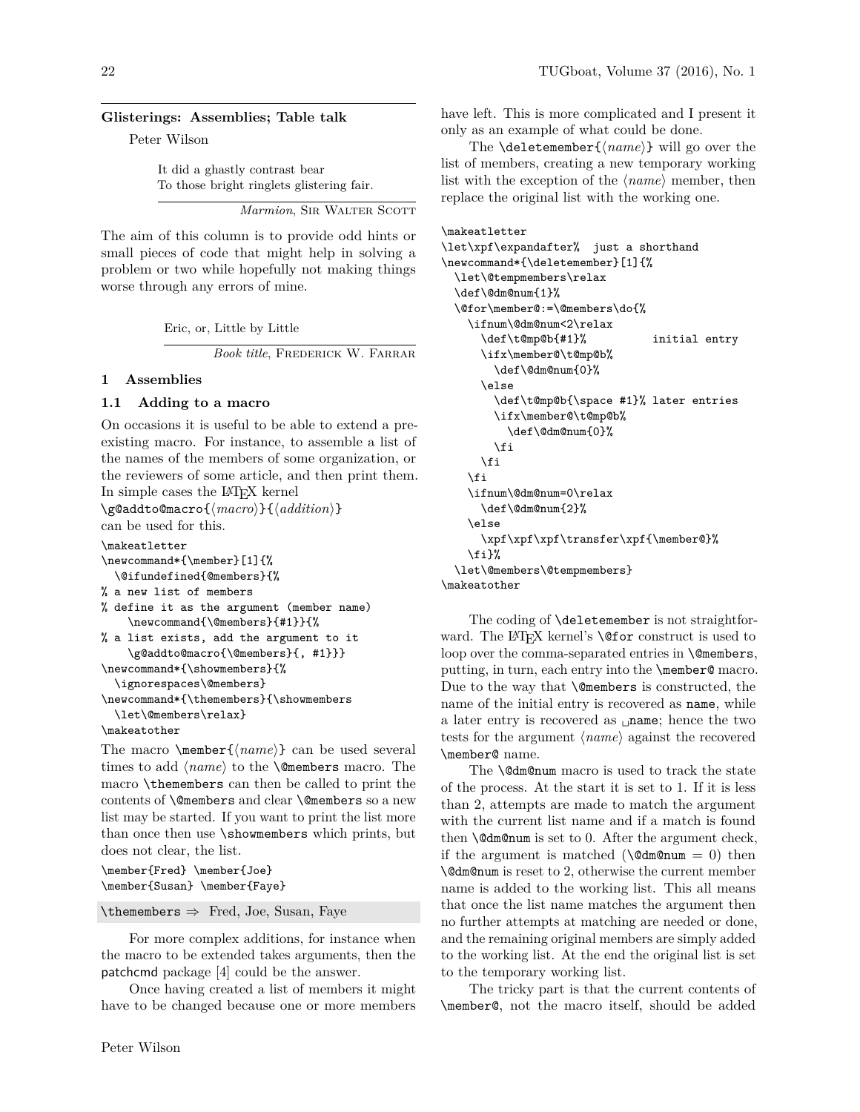#### **Glisterings: Assemblies; Table talk**

Peter Wilson

It did a ghastly contrast bear To those bright ringlets glistering fair.

*Marmion*, SIR WALTER SCOTT

The aim of this column is to provide odd hints or small pieces of code that might help in solving a problem or two while hopefully not making things worse through any errors of mine.

Eric, or, Little by Little

*Book title*, Frederick W. Farrar

### **1 Assemblies**

### **1.1 Adding to a macro**

On occasions it is useful to be able to extend a preexisting macro. For instance, to assemble a list of the names of the members of some organization, or the reviewers of some article, and then print them. In simple cases the LATEX kernel

\g@addto@macro{ $\langle macro\rangle$ }{ $\langle addition\rangle$ } can be used for this.

```
\makeatletter
\newcommand*{\member}[1]{%
  \@ifundefined{@members}{%
% a new list of members
% define it as the argument (member name)
    \newcommand{\@members}{#1}}{%
% a list exists, add the argument to it
    \g@addto@macro{\@members}{, #1}}}
\newcommand*{\showmembers}{%
  \ignorespaces\@members}
\newcommand*{\themembers}{\showmembers
  \let\@members\relax}
\makeatother
```
The macro  $\mtext{(*name*)}$  can be used several times to add  $\langle name \rangle$  to the **\@members** macro. The macro \themembers can then be called to print the contents of \@members and clear \@members so a new list may be started. If you want to print the list more than once then use \showmembers which prints, but does not clear, the list.

```
\member{Fred} \member{Joe}
\member{Susan} \member{Faye}
```
 $\theta \rightarrow$  Fred, Joe, Susan, Faye

For more complex additions, for instance when the macro to be extended takes arguments, then the patchcmd package [4] could be the answer.

Once having created a list of members it might have to be changed because one or more members

have left. This is more complicated and I present it only as an example of what could be done.

The **\deletemember** $\{\langle name \rangle\}$  will go over the list of members, creating a new temporary working list with the exception of the  $\langle name \rangle$  member, then replace the original list with the working one.

```
\makeatletter
```

```
\let\xpf\expandafter% just a shorthand
\newcommand*{\deletemember}[1]{%
  \let\@tempmembers\relax
  \def\@dm@num{1}%
  \@for\member@:=\@members\do{%
   \ifnum\@dm@num<2\relax
      \def\t@mp@b{#1}% initial entry
      \ifx\member@\t@mp@b%
        \def\@dm@num{0}%
     \else
        \def\t@mp@b{\space #1}% later entries
       \ifx\member@\t@mp@b%
          \def\@dm@num{0}%
       \fi
     \fi
   \fi
    \ifnum\@dm@num=0\relax
     \def\@dm@num{2}%
    \else
      \xpf\xpf\xpf\transfer\xpf{\member@}%
   \fi}%
  \let\@members\@tempmembers}
\makeatother
```
The coding of **\deletemember** is not straightforward. The LAT<sub>F</sub>X kernel's **\@for** construct is used to loop over the comma-separated entries in **\@members**, putting, in turn, each entry into the \member@ macro. Due to the way that \@members is constructed, the name of the initial entry is recovered as name, while a later entry is recovered as **<u>name</u>**; hence the two tests for the argument  $\langle name \rangle$  against the recovered \member@ name.

The **\@dm@num** macro is used to track the state of the process. At the start it is set to 1. If it is less than 2, attempts are made to match the argument with the current list name and if a match is found then  $\text{dom}\phi$  is set to 0. After the argument check, if the argument is matched ( $\text{Qdm@num} = 0$ ) then \@dm@num is reset to 2, otherwise the current member name is added to the working list. This all means that once the list name matches the argument then no further attempts at matching are needed or done, and the remaining original members are simply added to the working list. At the end the original list is set to the temporary working list.

The tricky part is that the current contents of \member@, not the macro itself, should be added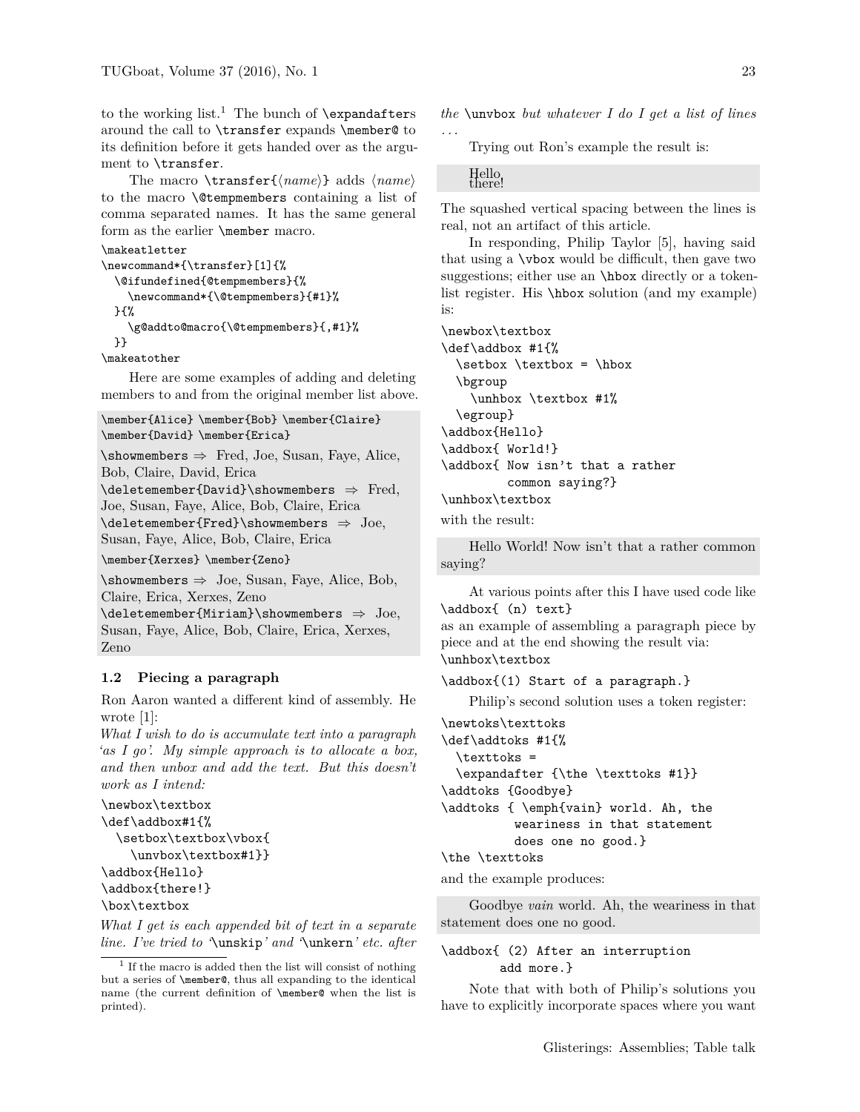to the working list.<sup>1</sup> The bunch of  $\exp$  and  $a$ fters around the call to \transfer expands \member@ to its definition before it gets handed over as the argument to \transfer.

The macro  $\text{name}\}$  adds  $\text{name}$ to the macro \@tempmembers containing a list of comma separated names. It has the same general form as the earlier \member macro.

```
\makeatletter
```

```
\newcommand*{\transfer}[1]{%
 \@ifundefined{@tempmembers}{%
    \newcommand*{\@tempmembers}{#1}%
 }{%
    \g@addto@macro{\@tempmembers}{,#1}%
 }}
```
\makeatother

Here are some examples of adding and deleting members to and from the original member list above.

```
\member{Alice} \member{Bob} \member{Claire}
\member{David} \member{Erica}
```
 $\verb|\shows| \Rightarrow$  Fred, Joe, Susan, Faye, Alice, Bob, Claire, David, Erica

\deletemember{David}\showmembers ⇒ Fred,

```
Joe, Susan, Faye, Alice, Bob, Claire, Erica
```
 $\delta \searrow$  Joe,

Susan, Faye, Alice, Bob, Claire, Erica

\member{Xerxes} \member{Zeno}

 $\verb|\shows|\nless \text{Susan}, \nFaye, \nAlice, \nBob,$ Claire, Erica, Xerxes, Zeno

\deletemember{Miriam}\showmembers ⇒ Joe, Susan, Faye, Alice, Bob, Claire, Erica, Xerxes, Zeno

## **1.2 Piecing a paragraph**

Ron Aaron wanted a different kind of assembly. He wrote [1]:

*What I wish to do is accumulate text into a paragraph 'as I go'. My simple approach is to allocate a box, and then unbox and add the text. But this doesn't work as I intend:*

```
\newbox\textbox
\def\addbox#1{%
 \setbox\textbox\vbox{
```

```
\unvbox\textbox#1}}
```

```
\addbox{Hello}
```

```
\addbox{there!}
```

```
\box\textbox
```
*What I get is each appended bit of text in a separate line. I've tried to '*\unskip*' and '*\unkern*' etc. after* *the* \unvbox *but whatever I do I get a list of lines . . .*

Trying out Ron's example the result is:

# Hello<br>there!

The squashed vertical spacing between the lines is real, not an artifact of this article.

In responding, Philip Taylor [5], having said that using a \vbox would be difficult, then gave two suggestions; either use an **\hbox** directly or a tokenlist register. His \hbox solution (and my example) is:

```
\newbox\textbox
\def\addbox #1{%
  \setbox \textbox = \hbox
 \bgroup
    \unhbox \textbox #1%
 \egroup}
\addbox{Hello}
\addbox{ World!}
\addbox{ Now isn't that a rather
         common saying?}
\unhbox\textbox
```
with the result:

Hello World! Now isn't that a rather common saying?

At various points after this I have used code like \addbox{ (n) text} as an example of assembling a paragraph piece by piece and at the end showing the result via: \unhbox\textbox

```
\addbox{(1) Start of a paragraph.}
```
Philip's second solution uses a token register:

```
\newtoks\texttoks
\def\addtoks #1{%
 \texttoks =
 \expandafter {\the \texttoks #1}}
\addtoks {Goodbye}
\addtoks { \emph{vain} world. Ah, the
          weariness in that statement
          does one no good.}
\the \texttoks
```
and the example produces:

Goodbye *vain* world. Ah, the weariness in that statement does one no good.

## \addbox{ (2) After an interruption add more.}

Note that with both of Philip's solutions you have to explicitly incorporate spaces where you want

<sup>&</sup>lt;sup>1</sup> If the macro is added then the list will consist of nothing but a series of \member@, thus all expanding to the identical name (the current definition of \member@ when the list is printed).